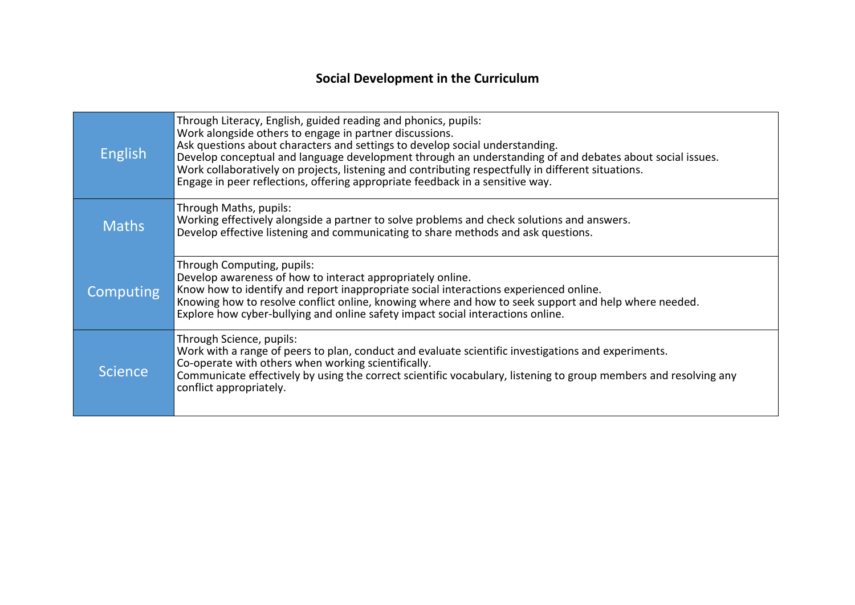## **Social Development in the Curriculum**

| <b>English</b> | Through Literacy, English, guided reading and phonics, pupils:<br>Work alongside others to engage in partner discussions.<br>Ask questions about characters and settings to develop social understanding.<br>Develop conceptual and language development through an understanding of and debates about social issues.<br>Work collaboratively on projects, listening and contributing respectfully in different situations.<br>Engage in peer reflections, offering appropriate feedback in a sensitive way. |
|----------------|--------------------------------------------------------------------------------------------------------------------------------------------------------------------------------------------------------------------------------------------------------------------------------------------------------------------------------------------------------------------------------------------------------------------------------------------------------------------------------------------------------------|
| <b>Maths</b>   | Through Maths, pupils:<br>Working effectively alongside a partner to solve problems and check solutions and answers.<br>Develop effective listening and communicating to share methods and ask questions.                                                                                                                                                                                                                                                                                                    |
| Computing      | Through Computing, pupils:<br>Develop awareness of how to interact appropriately online.<br>Know how to identify and report inappropriate social interactions experienced online.<br>Knowing how to resolve conflict online, knowing where and how to seek support and help where needed.<br>Explore how cyber-bullying and online safety impact social interactions online.                                                                                                                                 |
| <b>Science</b> | Through Science, pupils:<br>Work with a range of peers to plan, conduct and evaluate scientific investigations and experiments.<br>Co-operate with others when working scientifically.<br>Communicate effectively by using the correct scientific vocabulary, listening to group members and resolving any<br>conflict appropriately.                                                                                                                                                                        |